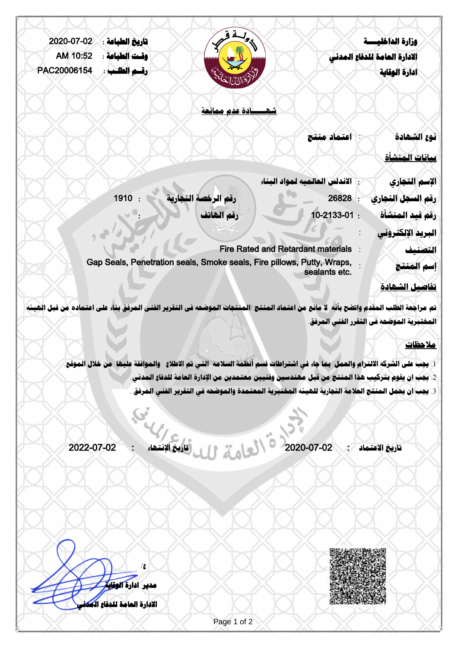| 2020-07-02  | تاريخ الطباعة : |                                                                                                                                                                                                        |                                           | وزارة الداخليسة              |
|-------------|-----------------|--------------------------------------------------------------------------------------------------------------------------------------------------------------------------------------------------------|-------------------------------------------|------------------------------|
| AM 10:52    | وقت الطباعة :   |                                                                                                                                                                                                        |                                           | الادارة العامة للدفاع المدنى |
| PAC20006154 | رقسم الطلب :    |                                                                                                                                                                                                        |                                           | ادارة الوقاية                |
|             |                 |                                                                                                                                                                                                        |                                           |                              |
|             |                 |                                                                                                                                                                                                        |                                           |                              |
|             |                 | شهسسادة عدم ممانعة                                                                                                                                                                                     |                                           |                              |
|             |                 |                                                                                                                                                                                                        | اعتماد منتج                               | نوع الشهادة                  |
|             |                 |                                                                                                                                                                                                        |                                           |                              |
|             |                 |                                                                                                                                                                                                        |                                           | <u>بيانات المنشأة</u>        |
|             |                 |                                                                                                                                                                                                        | الاندلس العالميه لمواد البناء             | الإسم التجارى                |
|             | 1910            | رقم الرخصة التجارية                                                                                                                                                                                    | 26828<br>÷                                | رقم السجل التجاري            |
|             |                 | رقم الهاتف                                                                                                                                                                                             | 10-2133-01:                               | رقم قيد المنشأة              |
|             |                 |                                                                                                                                                                                                        |                                           | البريد الإلكتروني            |
|             |                 |                                                                                                                                                                                                        | <b>Fire Rated and Retardant materials</b> | التصنيف                      |
|             |                 | Gap Seals, Penetration seals, Smoke seals, Fire pillows, Putty, Wraps,                                                                                                                                 |                                           | إسم المنتج                   |
|             |                 |                                                                                                                                                                                                        | sealants etc.                             |                              |
|             |                 |                                                                                                                                                                                                        |                                           | <u>تفاصيل الشهادة</u>        |
|             |                 | تم مراجعة الطلب المقدم واتضح بأنه لا مانع من اعتماد المنتج /المنتجات الموضحه في التقرير الفني المرفق بناء على اعتماده من قبل الهيئه                                                                    |                                           |                              |
|             |                 |                                                                                                                                                                                                        | المختبرية الموضحه في التقرر الفني المرفق. |                              |
|             |                 |                                                                                                                                                                                                        |                                           | ملاحظات                      |
|             |                 |                                                                                                                                                                                                        |                                           |                              |
|             |                 | 1. يجب على الشركه الالترام والعمل  بما جاء في اشتراطات قسم أنظمة السلامه  التي تم الاطلاع   والموافقة عليها  من خلال الموقع                                                                            |                                           |                              |
|             |                 | 2. يجب ان يقوم بتركيب هذا المنتج من قبل مهندسين وفنيين معتمدين من الإدارة العامة للدفاع المدنى.<br>3. يجب ان يحمل المنتج العلامة التجارية للهيئه المختبرية المعتمدة والموضحه في التقرير الفني المرفق . |                                           |                              |
|             |                 |                                                                                                                                                                                                        |                                           |                              |
|             |                 |                                                                                                                                                                                                        |                                           |                              |
|             |                 |                                                                                                                                                                                                        |                                           |                              |
| 2022-07-02  |                 |                                                                                                                                                                                                        | 2020-07-02                                | تاريخ الاعتماد               |
|             |                 |                                                                                                                                                                                                        |                                           |                              |



**ع/ مدير ادارة الوقاية الادارة العامة للدفاع المدني**

Page 1 of 2